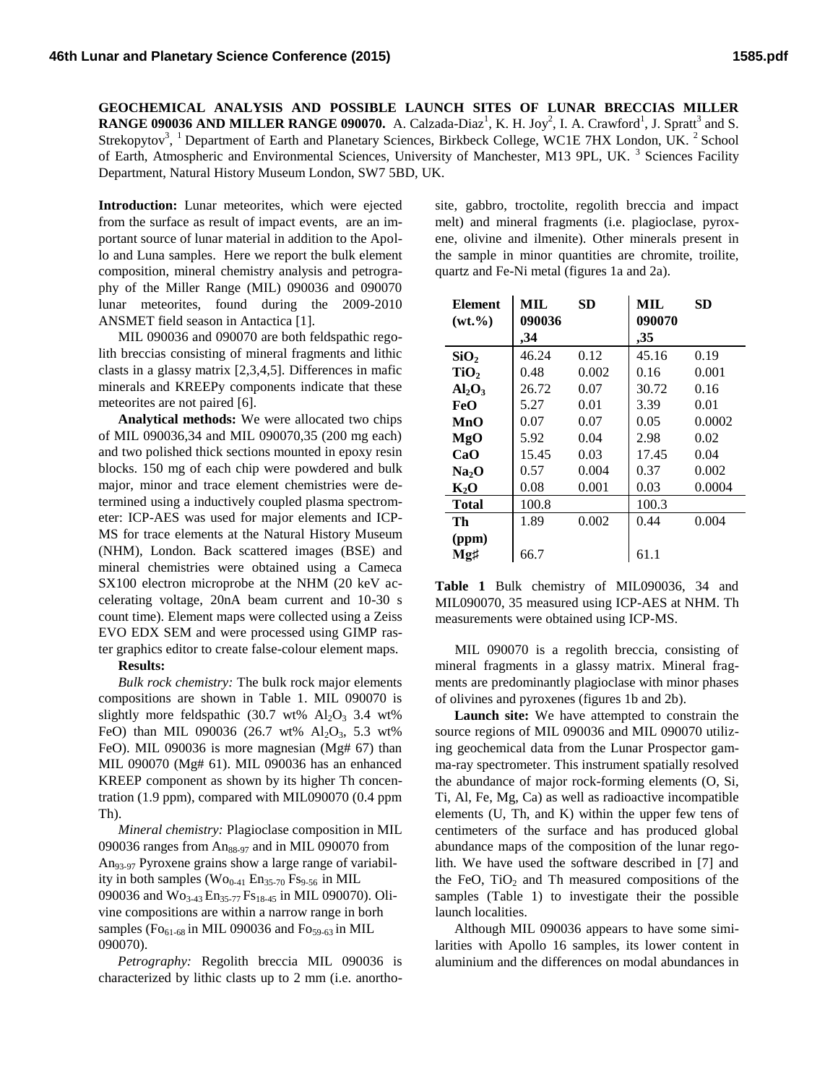**GEOCHEMICAL ANALYSIS AND POSSIBLE LAUNCH SITES OF LUNAR BRECCIAS MILLER RANGE 090036 AND MILLER RANGE 090070.** A. Calzada-Diaz<sup>1</sup>, K. H. Joy<sup>2</sup>, I. A. Crawford<sup>1</sup>, J. Spratt<sup>3</sup> and S. Strekopytov<sup>3</sup>, <sup>1</sup> Department of Earth and Planetary Sciences, Birkbeck College, WC1E 7HX London, UK. <sup>2</sup> School of Earth, Atmospheric and Environmental Sciences, University of Manchester, M13 9PL, UK.<sup>3</sup> Sciences Facility Department, Natural History Museum London, SW7 5BD, UK.

**Introduction:** Lunar meteorites, which were ejected from the surface as result of impact events, are an important source of lunar material in addition to the Apollo and Luna samples. Here we report the bulk element composition, mineral chemistry analysis and petrography of the Miller Range (MIL) 090036 and 090070 lunar meteorites, found during the 2009-2010 ANSMET field season in Antactica [1].

MIL 090036 and 090070 are both feldspathic regolith breccias consisting of mineral fragments and lithic clasts in a glassy matrix [2,3,4,5]. Differences in mafic minerals and KREEPy components indicate that these meteorites are not paired [6].

**Analytical methods:** We were allocated two chips of MIL 090036,34 and MIL 090070,35 (200 mg each) and two polished thick sections mounted in epoxy resin blocks. 150 mg of each chip were powdered and bulk major, minor and trace element chemistries were determined using a inductively coupled plasma spectrometer: ICP-AES was used for major elements and ICP-MS for trace elements at the Natural History Museum (NHM), London. Back scattered images (BSE) and mineral chemistries were obtained using a Cameca SX100 electron microprobe at the NHM (20 keV accelerating voltage, 20nA beam current and 10-30 s count time). Element maps were collected using a Zeiss EVO EDX SEM and were processed using GIMP raster graphics editor to create false-colour element maps.

## **Results:**

*Bulk rock chemistry:* The bulk rock major elements compositions are shown in Table 1. MIL 090070 is slightly more feldspathic (30.7 wt%  $Al_2O_3$  3.4 wt% FeO) than MIL 090036 (26.7 wt%  $Al_2O_3$ , 5.3 wt% FeO). MIL 090036 is more magnesian (Mg# 67) than MIL 090070 (Mg# 61). MIL 090036 has an enhanced KREEP component as shown by its higher Th concentration (1.9 ppm), compared with MIL090070 (0.4 ppm Th).

*Mineral chemistry:* Plagioclase composition in MIL 090036 ranges from  $An_{88-97}$  and in MIL 090070 from An93-97 Pyroxene grains show a large range of variability in both samples  $(Wo_{0-41} En_{35-70} Fs_{9-56}$  in MIL 090036 and Wo<sub>3-43</sub> En<sub>35-77</sub> Fs<sub>18-45</sub> in MIL 090070). Olivine compositions are within a narrow range in borh samples ( $\text{Fo}_{61-68}$  in MIL 090036 and  $\text{Fo}_{59-63}$  in MIL 090070).

*Petrography:* Regolith breccia MIL 090036 is characterized by lithic clasts up to 2 mm (i.e. anortho-

site, gabbro, troctolite, regolith breccia and impact melt) and mineral fragments (i.e. plagioclase, pyroxene, olivine and ilmenite). Other minerals present in the sample in minor quantities are chromite, troilite, quartz and Fe-Ni metal (figures 1a and 2a).

| <b>Element</b>    | MIL    | <b>SD</b> | <b>MIL</b> | <b>SD</b> |
|-------------------|--------|-----------|------------|-----------|
| $(wt. \% )$       | 090036 |           | 090070     |           |
|                   | .34    |           | ,35        |           |
| SiO <sub>2</sub>  | 46.24  | 0.12      | 45.16      | 0.19      |
| TiO <sub>2</sub>  | 0.48   | 0.002     | 0.16       | 0.001     |
| $Al_2O_3$         | 26.72  | 0.07      | 30.72      | 0.16      |
| FeO               | 5.27   | 0.01      | 3.39       | 0.01      |
| MnO               | 0.07   | 0.07      | 0.05       | 0.0002    |
| MgO               | 5.92   | 0.04      | 2.98       | 0.02      |
| CaO               | 15.45  | 0.03      | 17.45      | 0.04      |
| Na <sub>2</sub> O | 0.57   | 0.004     | 0.37       | 0.002     |
| $K_2O$            | 0.08   | 0.001     | 0.03       | 0.0004    |
| <b>Total</b>      | 100.8  |           | 100.3      |           |
| Th                | 1.89   | 0.002     | 0.44       | 0.004     |
| (ppm)             |        |           |            |           |
| Mg‡               | 66.7   |           | 61.1       |           |

**Table 1** Bulk chemistry of MIL090036, 34 and MIL090070, 35 measured using ICP-AES at NHM. Th measurements were obtained using ICP-MS.

MIL 090070 is a regolith breccia, consisting of mineral fragments in a glassy matrix. Mineral fragments are predominantly plagioclase with minor phases of olivines and pyroxenes (figures 1b and 2b).

**Launch site:** We have attempted to constrain the source regions of MIL 090036 and MIL 090070 utilizing geochemical data from the Lunar Prospector gamma-ray spectrometer. This instrument spatially resolved the abundance of major rock-forming elements (O, Si, Ti, Al, Fe, Mg, Ca) as well as radioactive incompatible elements (U, Th, and K) within the upper few tens of centimeters of the surface and has produced global abundance maps of the composition of the lunar regolith. We have used the software described in [7] and the FeO,  $TiO<sub>2</sub>$  and Th measured compositions of the samples (Table 1) to investigate their the possible launch localities.

Although MIL 090036 appears to have some similarities with Apollo 16 samples, its lower content in aluminium and the differences on modal abundances in